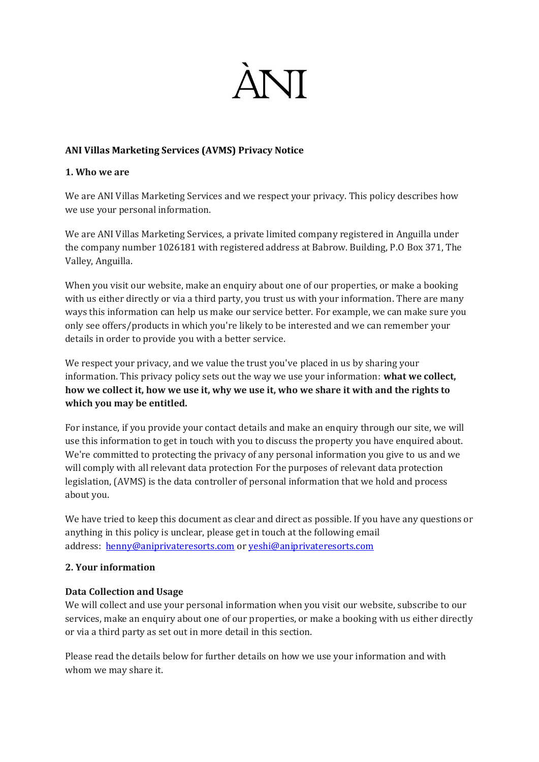

## **ANI Villas Marketing Services (AVMS) Privacy Notice**

### **1. Who we are**

We are ANI Villas Marketing Services and we respect your privacy. This policy describes how we use your personal information.

We are ANI Villas Marketing Services, a private limited company registered in Anguilla under the company number 1026181 with registered address at Babrow. Building, P.O Box 371, The Valley, Anguilla.

When you visit our website, make an enquiry about one of our properties, or make a booking with us either directly or via a third party, you trust us with your information. There are many ways this information can help us make our service better. For example, we can make sure you only see offers/products in which you're likely to be interested and we can remember your details in order to provide you with a better service.

We respect your privacy, and we value the trust you've placed in us by sharing your information. This privacy policy sets out the way we use your information: **what we collect, how we collect it, how we use it, why we use it, who we share it with and the rights to which you may be entitled.**

For instance, if you provide your contact details and make an enquiry through our site, we will use this information to get in touch with you to discuss the property you have enquired about. We're committed to protecting the privacy of any personal information you give to us and we will comply with all relevant data protection For the purposes of relevant data protection legislation, (AVMS) is the data controller of personal information that we hold and process about you.

We have tried to keep this document as clear and direct as possible. If you have any questions or anything in this policy is unclear, please get in touch at the following email address: [henny@aniprivateresorts.com](mailto:henny@aniprivateresorts.com) or [yeshi@aniprivateresorts.com](mailto:yeshi@aniprivateresorts.com)

## **2. Your information**

## **Data Collection and Usage**

We will collect and use your personal information when you visit our website, subscribe to our services, make an enquiry about one of our properties, or make a booking with us either directly or via a third party as set out in more detail in this section.

Please read the details below for further details on how we use your information and with whom we may share it.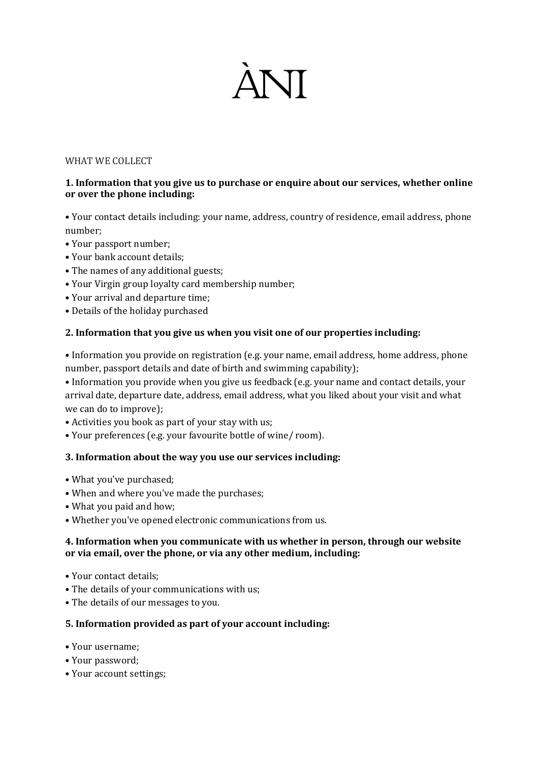# **ANT**

#### WHAT WE COLLECT

## **1. Information that you give us to purchase or enquire about our services, whether online or over the phone including:**

• Your contact details including: your name, address, country of residence, email address, phone number;

- Your passport number;
- Your bank account details;
- The names of any additional guests;
- Your Virgin group loyalty card membership number;
- Your arrival and departure time;
- Details of the holiday purchased

## **2. Information that you give us when you visit one of our properties including:**

• Information you provide on registration (e.g. your name, email address, home address, phone number, passport details and date of birth and swimming capability);

• Information you provide when you give us feedback (e.g. your name and contact details, your arrival date, departure date, address, email address, what you liked about your visit and what we can do to improve);

• Activities you book as part of your stay with us;

• Your preferences (e.g. your favourite bottle of wine/ room).

## **3. Information about the way you use our services including:**

- What you've purchased;
- When and where you've made the purchases;
- What you paid and how;
- Whether you've opened electronic communications from us.

## **4. Information when you communicate with us whether in person, through our website or via email, over the phone, or via any other medium, including:**

- Your contact details;
- The details of your communications with us;
- The details of our messages to you.

## **5. Information provided as part of your account including:**

- Your username;
- Your password;
- Your account settings;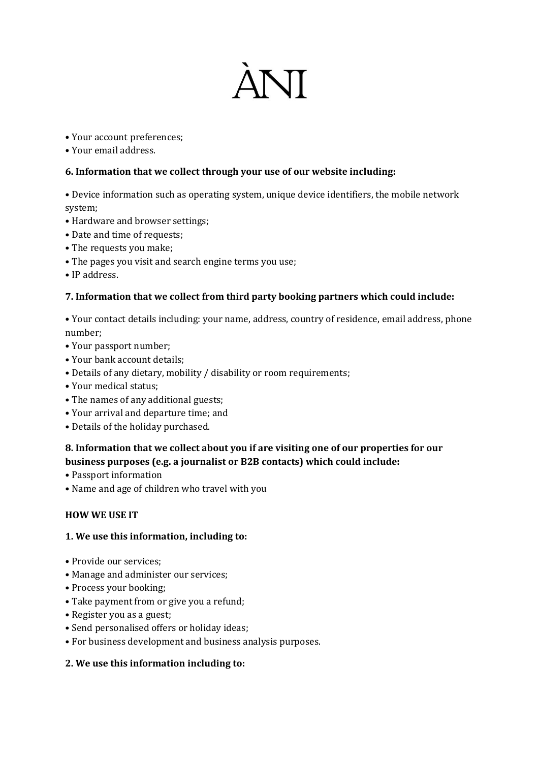# **ANT**

- Your account preferences;
- Your email address.

# **6. Information that we collect through your use of our website including:**

• Device information such as operating system, unique device identifiers, the mobile network system;

- Hardware and browser settings;
- Date and time of requests;
- The requests you make;
- The pages you visit and search engine terms you use;
- IP address.

# **7. Information that we collect from third party booking partners which could include:**

• Your contact details including: your name, address, country of residence, email address, phone number;

- Your passport number;
- Your bank account details;
- Details of any dietary, mobility / disability or room requirements;
- Your medical status;
- The names of any additional guests;
- Your arrival and departure time; and
- Details of the holiday purchased.

# **8. Information that we collect about you if are visiting one of our properties for our business purposes (e.g. a journalist or B2B contacts) which could include:**

- Passport information
- Name and age of children who travel with you

## **HOW WE USE IT**

## **1. We use this information, including to:**

- Provide our services;
- Manage and administer our services;
- Process your booking;
- Take payment from or give you a refund;
- Register you as a guest;
- Send personalised offers or holiday ideas;
- For business development and business analysis purposes.

# **2. We use this information including to:**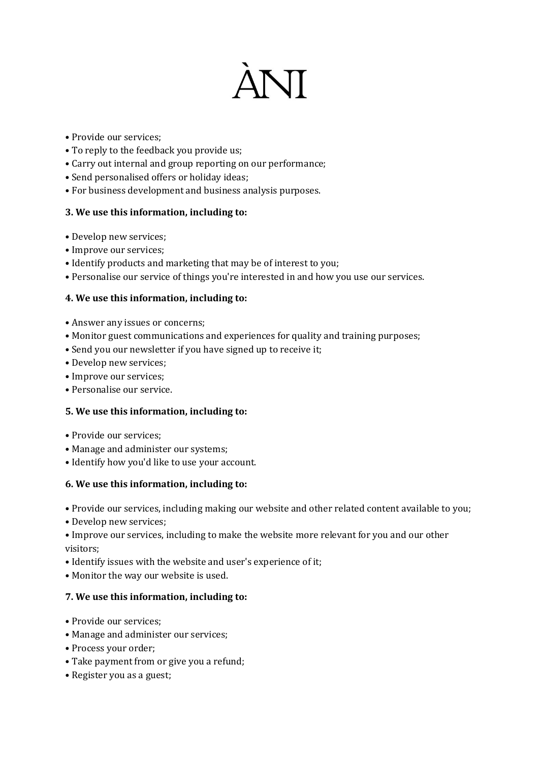# **ANT**

- Provide our services;
- To reply to the feedback you provide us;
- Carry out internal and group reporting on our performance;
- Send personalised offers or holiday ideas;
- For business development and business analysis purposes.

# **3. We use this information, including to:**

- Develop new services;
- Improve our services;
- Identify products and marketing that may be of interest to you;
- Personalise our service of things you're interested in and how you use our services.

# **4. We use this information, including to:**

- Answer any issues or concerns;
- Monitor guest communications and experiences for quality and training purposes;
- Send you our newsletter if you have signed up to receive it;
- Develop new services;
- Improve our services;
- Personalise our service.

## **5. We use this information, including to:**

- Provide our services;
- Manage and administer our systems;
- Identify how you'd like to use your account.

## **6. We use this information, including to:**

• Provide our services, including making our website and other related content available to you;

• Develop new services;

• Improve our services, including to make the website more relevant for you and our other visitors;

- Identify issues with the website and user's experience of it;
- Monitor the way our website is used.

## **7. We use this information, including to:**

- Provide our services;
- Manage and administer our services;
- Process your order;
- Take payment from or give you a refund;
- Register you as a guest;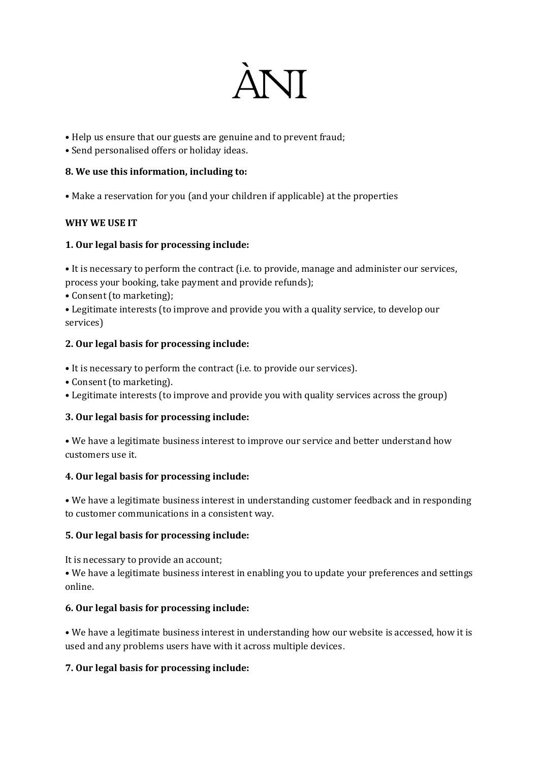

• Help us ensure that our guests are genuine and to prevent fraud;

• Send personalised offers or holiday ideas.

# **8. We use this information, including to:**

• Make a reservation for you (and your children if applicable) at the properties

# **WHY WE USE IT**

# **1. Our legal basis for processing include:**

• It is necessary to perform the contract (i.e. to provide, manage and administer our services, process your booking, take payment and provide refunds);

• Consent (to marketing);

• Legitimate interests (to improve and provide you with a quality service, to develop our services)

# **2. Our legal basis for processing include:**

- It is necessary to perform the contract (i.e. to provide our services).
- Consent (to marketing).
- Legitimate interests (to improve and provide you with quality services across the group)

## **3. Our legal basis for processing include:**

• We have a legitimate business interest to improve our service and better understand how customers use it.

## **4. Our legal basis for processing include:**

• We have a legitimate business interest in understanding customer feedback and in responding to customer communications in a consistent way.

## **5. Our legal basis for processing include:**

It is necessary to provide an account;

• We have a legitimate business interest in enabling you to update your preferences and settings online.

## **6. Our legal basis for processing include:**

• We have a legitimate business interest in understanding how our website is accessed, how it is used and any problems users have with it across multiple devices.

# **7. Our legal basis for processing include:**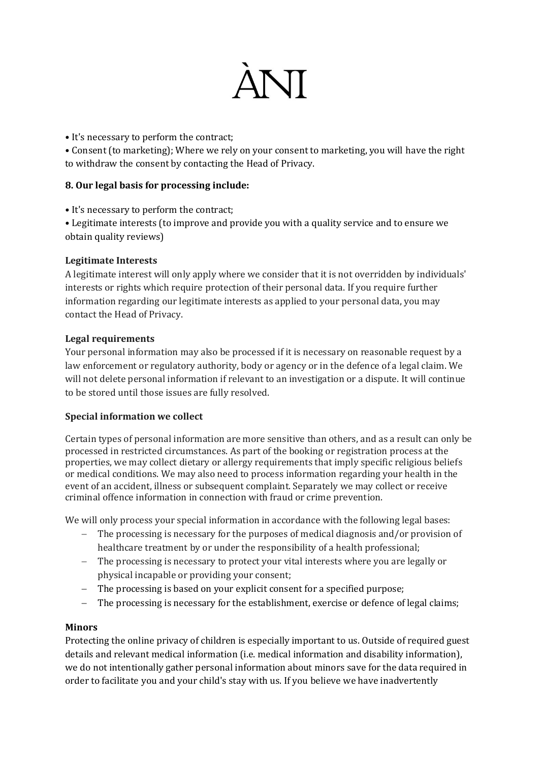

• It's necessary to perform the contract;

• Consent (to marketing); Where we rely on your consent to marketing, you will have the right to withdraw the consent by contacting the Head of Privacy.

# **8. Our legal basis for processing include:**

• It's necessary to perform the contract;

• Legitimate interests (to improve and provide you with a quality service and to ensure we obtain quality reviews)

# **Legitimate Interests**

A legitimate interest will only apply where we consider that it is not overridden by individuals' interests or rights which require protection of their personal data. If you require further information regarding our legitimate interests as applied to your personal data, you may contact the Head of Privacy.

# **Legal requirements**

Your personal information may also be processed if it is necessary on reasonable request by a law enforcement or regulatory authority, body or agency or in the defence of a legal claim. We will not delete personal information if relevant to an investigation or a dispute. It will continue to be stored until those issues are fully resolved.

## **Special information we collect**

Certain types of personal information are more sensitive than others, and as a result can only be processed in restricted circumstances. As part of the booking or registration process at the properties, we may collect dietary or allergy requirements that imply specific religious beliefs or medical conditions. We may also need to process information regarding your health in the event of an accident, illness or subsequent complaint. Separately we may collect or receive criminal offence information in connection with fraud or crime prevention.

We will only process your special information in accordance with the following legal bases:

- − The processing is necessary for the purposes of medical diagnosis and/or provision of healthcare treatment by or under the responsibility of a health professional;
- − The processing is necessary to protect your vital interests where you are legally or physical incapable or providing your consent;
- − The processing is based on your explicit consent for a specified purpose;
- − The processing is necessary for the establishment, exercise or defence of legal claims;

## **Minors**

Protecting the online privacy of children is especially important to us. Outside of required guest details and relevant medical information (i.e. medical information and disability information), we do not intentionally gather personal information about minors save for the data required in order to facilitate you and your child's stay with us. If you believe we have inadvertently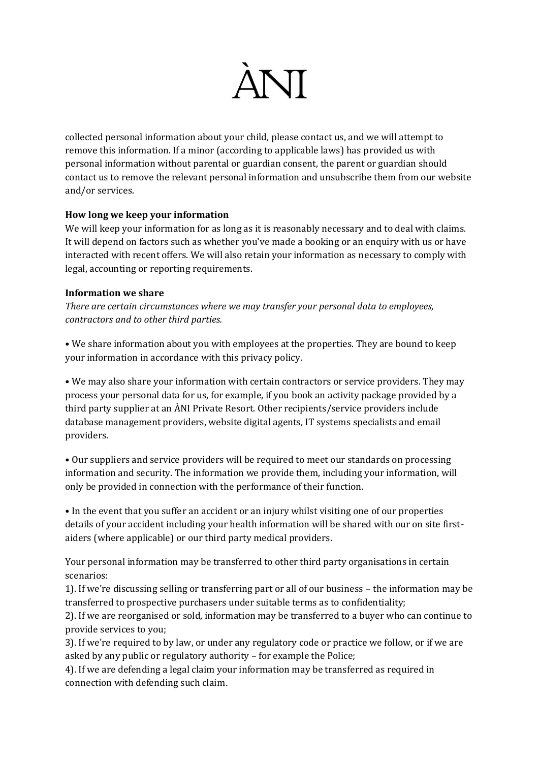

collected personal information about your child, please contact us, and we will attempt to remove this information. If a minor (according to applicable laws) has provided us with personal information without parental or guardian consent, the parent or guardian should contact us to remove the relevant personal information and unsubscribe them from our website and/or services.

# **How long we keep your information**

We will keep your information for as long as it is reasonably necessary and to deal with claims. It will depend on factors such as whether you've made a booking or an enquiry with us or have interacted with recent offers. We will also retain your information as necessary to comply with legal, accounting or reporting requirements.

## **Information we share**

*There are certain circumstances where we may transfer your personal data to employees, contractors and to other third parties.*

• We share information about you with employees at the properties. They are bound to keep your information in accordance with this privacy policy.

• We may also share your information with certain contractors or service providers. They may process your personal data for us, for example, if you book an activity package provided by a third party supplier at an ÀNI Private Resort. Other recipients/service providers include database management providers, website digital agents, IT systems specialists and email providers.

• Our suppliers and service providers will be required to meet our standards on processing information and security. The information we provide them, including your information, will only be provided in connection with the performance of their function.

• In the event that you suffer an accident or an injury whilst visiting one of our properties details of your accident including your health information will be shared with our on site firstaiders (where applicable) or our third party medical providers.

Your personal information may be transferred to other third party organisations in certain scenarios:

1). If we're discussing selling or transferring part or all of our business – the information may be transferred to prospective purchasers under suitable terms as to confidentiality;

2). If we are reorganised or sold, information may be transferred to a buyer who can continue to provide services to you;

3). If we're required to by law, or under any regulatory code or practice we follow, or if we are asked by any public or regulatory authority – for example the Police;

4). If we are defending a legal claim your information may be transferred as required in connection with defending such claim.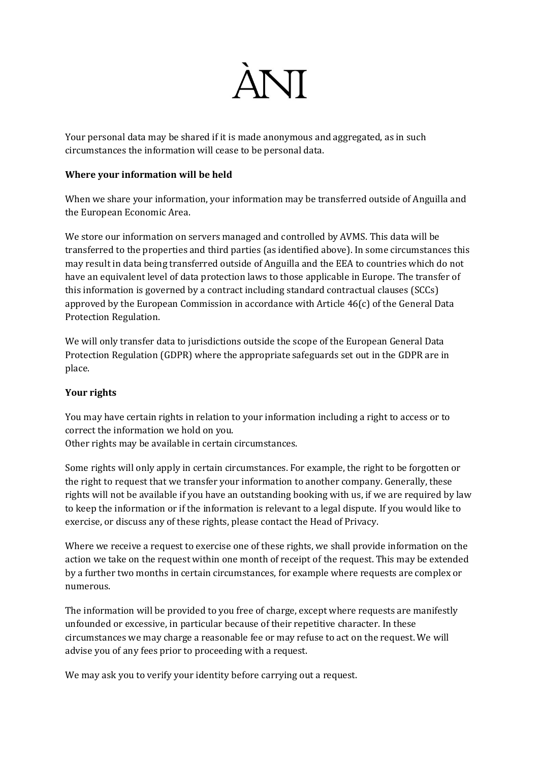

Your personal data may be shared if it is made anonymous and aggregated, as in such circumstances the information will cease to be personal data.

### **Where your information will be held**

When we share your information, your information may be transferred outside of Anguilla and the European Economic Area.

We store our information on servers managed and controlled by AVMS. This data will be transferred to the properties and third parties (as identified above). In some circumstances this may result in data being transferred outside of Anguilla and the EEA to countries which do not have an equivalent level of data protection laws to those applicable in Europe. The transfer of this information is governed by a contract including standard contractual clauses (SCCs) approved by the European Commission in accordance with Article 46(c) of the General Data Protection Regulation.

We will only transfer data to jurisdictions outside the scope of the European General Data Protection Regulation (GDPR) where the appropriate safeguards set out in the GDPR are in place.

## **Your rights**

You may have certain rights in relation to your information including a right to access or to correct the information we hold on you. Other rights may be available in certain circumstances.

Some rights will only apply in certain circumstances. For example, the right to be forgotten or the right to request that we transfer your information to another company. Generally, these rights will not be available if you have an outstanding booking with us, if we are required by law to keep the information or if the information is relevant to a legal dispute. If you would like to exercise, or discuss any of these rights, please contact the Head of Privacy.

Where we receive a request to exercise one of these rights, we shall provide information on the action we take on the request within one month of receipt of the request. This may be extended by a further two months in certain circumstances, for example where requests are complex or numerous.

The information will be provided to you free of charge, except where requests are manifestly unfounded or excessive, in particular because of their repetitive character. In these circumstances we may charge a reasonable fee or may refuse to act on the request. We will advise you of any fees prior to proceeding with a request.

We may ask you to verify your identity before carrying out a request.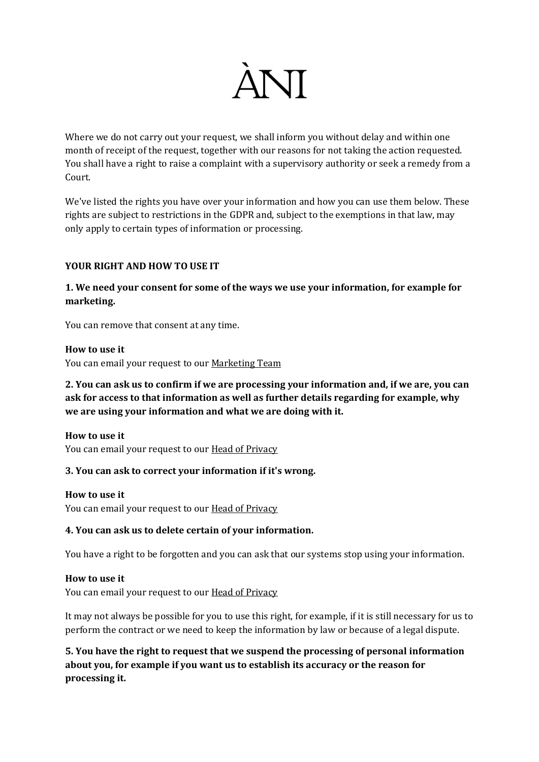

Where we do not carry out your request, we shall inform you without delay and within one month of receipt of the request, together with our reasons for not taking the action requested. You shall have a right to raise a complaint with a supervisory authority or seek a remedy from a Court.

We've listed the rights you have over your information and how you can use them below. These rights are subject to restrictions in the GDPR and, subject to the exemptions in that law, may only apply to certain types of information or processing.

## **YOUR RIGHT AND HOW TO USE IT**

**1. We need your consent for some of the ways we use your information, for example for marketing.**

You can remove that consent at any time.

#### **How to use it**

You can email your request to our [Marketing Team](mailto:marketing@aniprivateresorts.com)

# **2. You can ask us to confirm if we are processing your information and, if we are, you can ask for access to that information as well as further details regarding for example, why we are using your information and what we are doing with it.**

**How to use it** You can email your request to our **[Head of Privacy](mailto:yeshi@aniprivateresorts.com)** 

## **3. You can ask to correct your information if it's wrong.**

## **How to use it**

You can email your request to our **[Head of Privacy](mailto:yeshi@aniprivateresorts.com)** 

## **4. You can ask us to delete certain of your information.**

You have a right to be forgotten and you can ask that our systems stop using your information.

## **How to use it**

You can email your request to our **[Head of Privacy](mailto:yeshi@aniprivateresorts.com)** 

It may not always be possible for you to use this right, for example, if it is still necessary for us to perform the contract or we need to keep the information by law or because of a legal dispute.

**5. You have the right to request that we suspend the processing of personal information about you, for example if you want us to establish its accuracy or the reason for processing it.**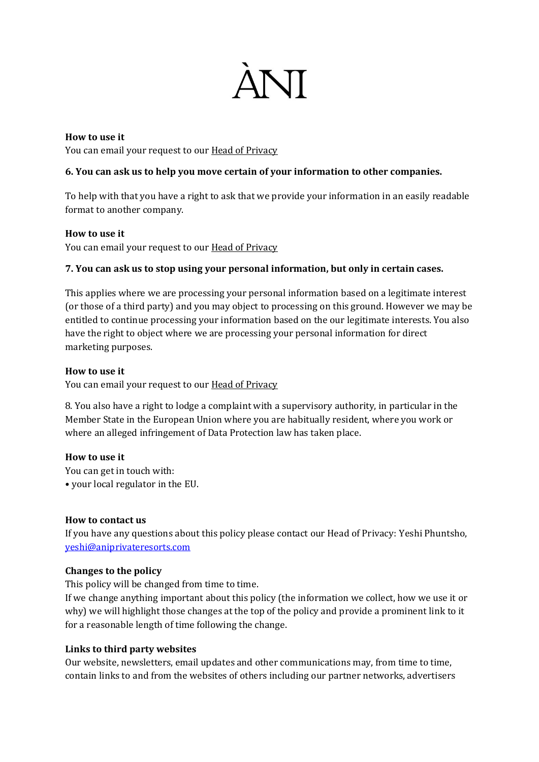

**How to use it** You can email your request to our [Head of Privacy](mailto:yeshi@aniprivateresorts.com)

# **6. You can ask us to help you move certain of your information to other companies.**

To help with that you have a right to ask that we provide your information in an easily readable format to another company.

## **How to use it**

You can email your request to our **[Head of Privacy](mailto:yeshi@aniprivateresorts.com)** 

# **7. You can ask us to stop using your personal information, but only in certain cases.**

This applies where we are processing your personal information based on a legitimate interest (or those of a third party) and you may object to processing on this ground. However we may be entitled to continue processing your information based on the our legitimate interests. You also have the right to object where we are processing your personal information for direct marketing purposes.

## **How to use it**

You can email your request to our **[Head of Privacy](mailto:yeshi@aniprivateresorts.com)** 

8. You also have a right to lodge a complaint with a supervisory authority, in particular in the Member State in the European Union where you are habitually resident, where you work or where an alleged infringement of Data Protection law has taken place.

## **How to use it**

You can get in touch with: • your local regulator in the EU.

## **How to contact us**

If you have any questions about this policy please contact our Head of Privacy: Yeshi Phuntsho, [yeshi@aniprivateresorts.com](mailto:yeshi@aniprivateresorts.com)

## **Changes to the policy**

This policy will be changed from time to time.

If we change anything important about this policy (the information we collect, how we use it or why) we will highlight those changes at the top of the policy and provide a prominent link to it for a reasonable length of time following the change.

## **Links to third party websites**

Our website, newsletters, email updates and other communications may, from time to time, contain links to and from the websites of others including our partner networks, advertisers